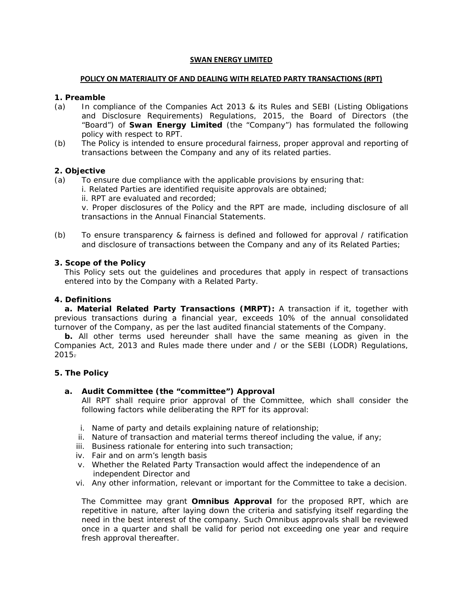## **SWAN ENERGY LIMITED**

## **POLICY ON MATERIALITY OF AND DEALING WITH RELATED PARTY TRANSACTIONS (RPT)**

#### **1. Preamble**

- (a) In compliance of the Companies Act 2013 & its Rules and SEBI (Listing Obligations and Disclosure Requirements) Regulations, 2015, the Board of Directors (the "Board") of **Swan Energy Limited** (the "Company") has formulated the following policy with respect to RPT.
- (b) The Policy is intended to ensure procedural fairness, proper approval and reporting of transactions between the Company and any of its related parties.

## **2. Objective**

- (a) To ensure due compliance with the applicable provisions by ensuring that:
	- i. Related Parties are identified requisite approvals are obtained;
	- ii. RPT are evaluated and recorded;

v. Proper disclosures of the Policy and the RPT are made, including disclosure of all transactions in the Annual Financial Statements.

(b) To ensure transparency & fairness is defined and followed for approval / ratification and disclosure of transactions between the Company and any of its Related Parties;

## **3. Scope of the Policy**

This Policy sets out the guidelines and procedures that apply in respect of transactions entered into by the Company with a Related Party.

# **4. Definitions**

**a. Material Related Party Transactions (MRPT):** A transaction if it, together with previous transactions during a financial year, exceeds 10% of the annual consolidated turnover of the Company, as per the last audited financial statements of the Company.

**b.** All other terms used hereunder shall have the same meaning as given in the Companies Act, 2013 and Rules made there under and / or the SEBI (LODR) Regulations,  $2015 -$ 

#### **5. The Policy**

#### **a. Audit Committee (the "committee") Approval**

All RPT shall require prior approval of the Committee, which shall consider the following factors while deliberating the RPT for its approval:

- i. Name of party and details explaining nature of relationship;
- ii. Nature of transaction and material terms thereof including the value, if any;
- iii. Business rationale for entering into such transaction;
- iv. Fair and on arm's length basis
- v. Whether the Related Party Transaction would affect the independence of an independent Director and
- vi. Any other information, relevant or important for the Committee to take a decision.

The Committee may grant **Omnibus Approval** for the proposed RPT, which are repetitive in nature, after laying down the criteria and satisfying itself regarding the need in the best interest of the company. Such Omnibus approvals shall be reviewed once in a quarter and shall be valid for period not exceeding one year and require fresh approval thereafter.